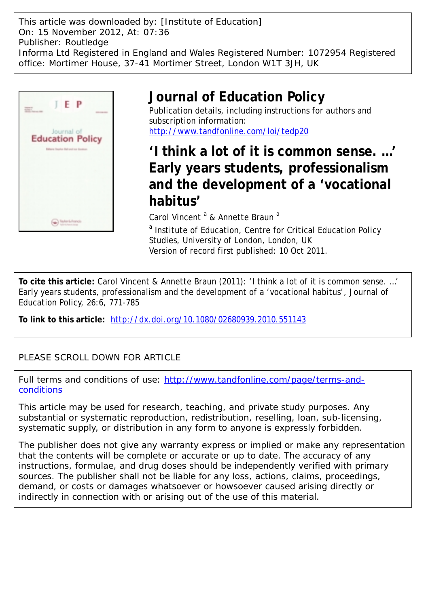This article was downloaded by: [Institute of Education] On: 15 November 2012, At: 07:36 Publisher: Routledge Informa Ltd Registered in England and Wales Registered Number: 1072954 Registered office: Mortimer House, 37-41 Mortimer Street, London W1T 3JH, UK



# **Journal of Education Policy**

Publication details, including instructions for authors and subscription information: <http://www.tandfonline.com/loi/tedp20>

**'I think a lot of it is common sense. …' Early years students, professionalism and the development of a 'vocational habitus'**

Carol Vincent<sup>a</sup> & Annette Braun<sup>a</sup>

<sup>a</sup> Institute of Education, Centre for Critical Education Policy Studies, University of London, London, UK Version of record first published: 10 Oct 2011.

**To cite this article:** Carol Vincent & Annette Braun (2011): 'I think a lot of it is common sense. …' Early years students, professionalism and the development of a 'vocational habitus', Journal of Education Policy, 26:6, 771-785

**To link to this article:** <http://dx.doi.org/10.1080/02680939.2010.551143>

# PLEASE SCROLL DOWN FOR ARTICLE

Full terms and conditions of use: [http://www.tandfonline.com/page/terms-and](http://www.tandfonline.com/page/terms-and-conditions)[conditions](http://www.tandfonline.com/page/terms-and-conditions)

This article may be used for research, teaching, and private study purposes. Any substantial or systematic reproduction, redistribution, reselling, loan, sub-licensing, systematic supply, or distribution in any form to anyone is expressly forbidden.

The publisher does not give any warranty express or implied or make any representation that the contents will be complete or accurate or up to date. The accuracy of any instructions, formulae, and drug doses should be independently verified with primary sources. The publisher shall not be liable for any loss, actions, claims, proceedings, demand, or costs or damages whatsoever or howsoever caused arising directly or indirectly in connection with or arising out of the use of this material.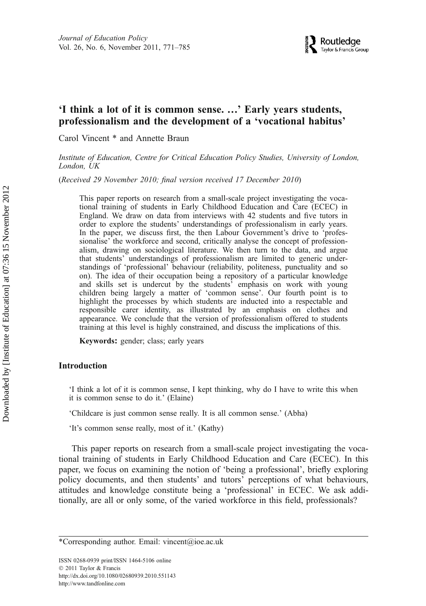# 'I think a lot of it is common sense. ...' Early years students, professionalism and the development of a 'vocational habitus'

Carol Vincent \* and Annette Braun

Institute of Education, Centre for Critical Education Policy Studies, University of London, London, UK

(Received 29 November 2010; final version received 17 December 2010)

This paper reports on research from a small-scale project investigating the vocational training of students in Early Childhood Education and Care (ECEC) in England. We draw on data from interviews with 42 students and five tutors in order to explore the students' understandings of professionalism in early years. In the paper, we discuss first, the then Labour Government's drive to 'professionalise' the workforce and second, critically analyse the concept of professionalism, drawing on sociological literature. We then turn to the data, and argue that students' understandings of professionalism are limited to generic understandings of 'professional' behaviour (reliability, politeness, punctuality and so on). The idea of their occupation being a repository of a particular knowledge and skills set is undercut by the students' emphasis on work with young children being largely a matter of 'common sense'. Our fourth point is to highlight the processes by which students are inducted into a respectable and responsible carer identity, as illustrated by an emphasis on clothes and appearance. We conclude that the version of professionalism offered to students training at this level is highly constrained, and discuss the implications of this.

Keywords: gender; class; early years

# Introduction

'I think a lot of it is common sense, I kept thinking, why do I have to write this when it is common sense to do it.' (Elaine)

'Childcare is just common sense really. It is all common sense.' (Abha)

'It's common sense really, most of it.' (Kathy)

This paper reports on research from a small-scale project investigating the vocational training of students in Early Childhood Education and Care (ECEC). In this paper, we focus on examining the notion of 'being a professional', briefly exploring policy documents, and then students' and tutors' perceptions of what behaviours, attitudes and knowledge constitute being a 'professional' in ECEC. We ask additionally, are all or only some, of the varied workforce in this field, professionals?

<sup>\*</sup>Corresponding author. Email: vincent@ioe.ac.uk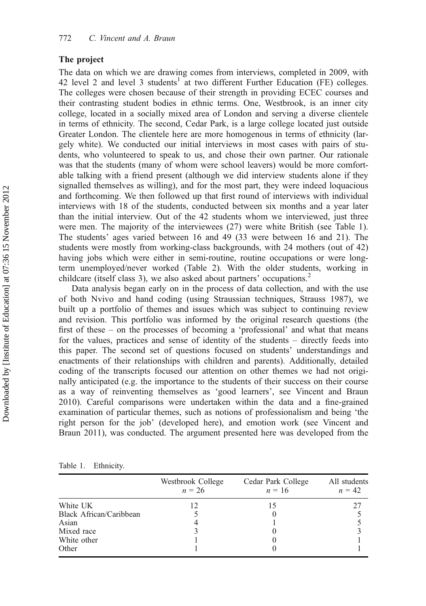# The project

The data on which we are drawing comes from interviews, completed in 2009, with 42 level 2 and level 3 students<sup>1</sup> at two different Further Education (FE) colleges. The colleges were chosen because of their strength in providing ECEC courses and their contrasting student bodies in ethnic terms. One, Westbrook, is an inner city college, located in a socially mixed area of London and serving a diverse clientele in terms of ethnicity. The second, Cedar Park, is a large college located just outside Greater London. The clientele here are more homogenous in terms of ethnicity (largely white). We conducted our initial interviews in most cases with pairs of students, who volunteered to speak to us, and chose their own partner. Our rationale was that the students (many of whom were school leavers) would be more comfortable talking with a friend present (although we did interview students alone if they signalled themselves as willing), and for the most part, they were indeed loquacious and forthcoming. We then followed up that first round of interviews with individual interviews with 18 of the students, conducted between six months and a year later than the initial interview. Out of the 42 students whom we interviewed, just three were men. The majority of the interviewees (27) were white British (see Table 1). The students' ages varied between 16 and 49 (33 were between 16 and 21). The students were mostly from working-class backgrounds, with 24 mothers (out of 42) having jobs which were either in semi-routine, routine occupations or were longterm unemployed/never worked (Table 2). With the older students, working in childcare (itself class 3), we also asked about partners' occupations.<sup>2</sup>

Data analysis began early on in the process of data collection, and with the use of both Nvivo and hand coding (using Straussian techniques, Strauss 1987), we built up a portfolio of themes and issues which was subject to continuing review and revision. This portfolio was informed by the original research questions (the first of these – on the processes of becoming a 'professional' and what that means for the values, practices and sense of identity of the students – directly feeds into this paper. The second set of questions focused on students' understandings and enactments of their relationships with children and parents). Additionally, detailed coding of the transcripts focused our attention on other themes we had not originally anticipated (e.g. the importance to the students of their success on their course as a way of reinventing themselves as 'good learners', see Vincent and Braun 2010). Careful comparisons were undertaken within the data and a fine-grained examination of particular themes, such as notions of professionalism and being 'the right person for the job' (developed here), and emotion work (see Vincent and Braun 2011), was conducted. The argument presented here was developed from the

| Table 1. | Ethnicity. |
|----------|------------|
|          |            |

|                         | Westbrook College<br>$n = 26$ | Cedar Park College<br>$n = 16$ | All students<br>$n = 42$ |
|-------------------------|-------------------------------|--------------------------------|--------------------------|
| White UK                |                               | 15                             | 27                       |
| Black African/Caribbean |                               |                                |                          |
| Asian                   |                               |                                |                          |
| Mixed race              |                               |                                |                          |
| White other             |                               |                                |                          |
| Other                   |                               |                                |                          |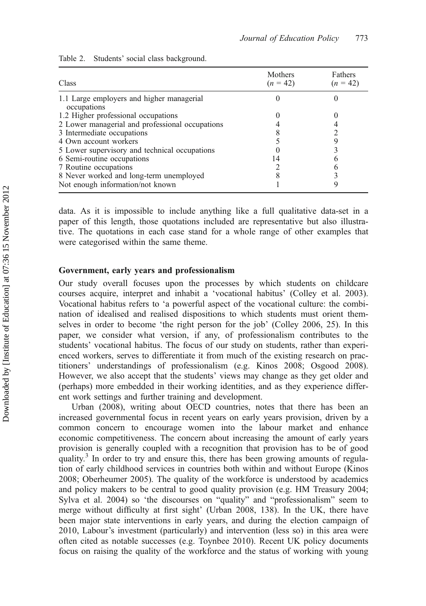| Class                                                    | <b>Mothers</b><br>$(n = 42)$ | Fathers<br>$(n = 42)$ |
|----------------------------------------------------------|------------------------------|-----------------------|
| 1.1 Large employers and higher managerial<br>occupations |                              |                       |
| 1.2 Higher professional occupations                      |                              |                       |
| 2 Lower managerial and professional occupations          |                              |                       |
| 3 Intermediate occupations                               |                              |                       |
| 4 Own account workers                                    |                              |                       |
| 5 Lower supervisory and technical occupations            |                              |                       |
| 6 Semi-routine occupations                               | 14                           |                       |
| 7 Routine occupations                                    |                              |                       |
| 8 Never worked and long-term unemployed                  |                              |                       |
| Not enough information/not known                         |                              |                       |

|  |  |  |  | Table 2. Students' social class background. |
|--|--|--|--|---------------------------------------------|
|--|--|--|--|---------------------------------------------|

data. As it is impossible to include anything like a full qualitative data-set in a paper of this length, those quotations included are representative but also illustrative. The quotations in each case stand for a whole range of other examples that were categorised within the same theme.

# Government, early years and professionalism

Our study overall focuses upon the processes by which students on childcare courses acquire, interpret and inhabit a 'vocational habitus' (Colley et al. 2003). Vocational habitus refers to 'a powerful aspect of the vocational culture: the combination of idealised and realised dispositions to which students must orient themselves in order to become 'the right person for the job' (Colley 2006, 25). In this paper, we consider what version, if any, of professionalism contributes to the students' vocational habitus. The focus of our study on students, rather than experienced workers, serves to differentiate it from much of the existing research on practitioners' understandings of professionalism (e.g. Kinos 2008; Osgood 2008). However, we also accept that the students' views may change as they get older and (perhaps) more embedded in their working identities, and as they experience different work settings and further training and development.

Urban (2008), writing about OECD countries, notes that there has been an increased governmental focus in recent years on early years provision, driven by a common concern to encourage women into the labour market and enhance economic competitiveness. The concern about increasing the amount of early years provision is generally coupled with a recognition that provision has to be of good quality.<sup>3</sup> In order to try and ensure this, there has been growing amounts of regulation of early childhood services in countries both within and without Europe (Kinos 2008; Oberheumer 2005). The quality of the workforce is understood by academics and policy makers to be central to good quality provision (e.g. HM Treasury 2004; Sylva et al. 2004) so 'the discourses on "quality" and "professionalism" seem to merge without difficulty at first sight' (Urban 2008, 138). In the UK, there have been major state interventions in early years, and during the election campaign of 2010, Labour's investment (particularly) and intervention (less so) in this area were often cited as notable successes (e.g. Toynbee 2010). Recent UK policy documents focus on raising the quality of the workforce and the status of working with young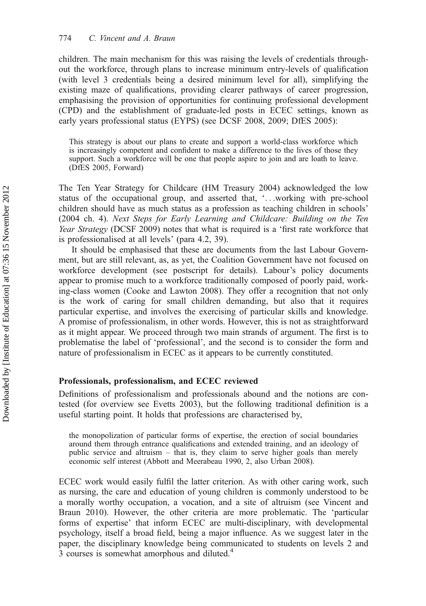children. The main mechanism for this was raising the levels of credentials throughout the workforce, through plans to increase minimum entry-levels of qualification (with level 3 credentials being a desired minimum level for all), simplifying the existing maze of qualifications, providing clearer pathways of career progression, emphasising the provision of opportunities for continuing professional development (CPD) and the establishment of graduate-led posts in ECEC settings, known as early years professional status (EYPS) (see DCSF 2008, 2009; DfES 2005):

This strategy is about our plans to create and support a world-class workforce which is increasingly competent and confident to make a difference to the lives of those they support. Such a workforce will be one that people aspire to join and are loath to leave. (DfES 2005, Forward)

The Ten Year Strategy for Childcare (HM Treasury 2004) acknowledged the low status of the occupational group, and asserted that, '...working with pre-school children should have as much status as a profession as teaching children in schools' (2004 ch. 4). Next Steps for Early Learning and Childcare: Building on the Ten Year Strategy (DCSF 2009) notes that what is required is a 'first rate workforce that is professionalised at all levels' (para 4.2, 39).

It should be emphasised that these are documents from the last Labour Government, but are still relevant, as, as yet, the Coalition Government have not focused on workforce development (see postscript for details). Labour's policy documents appear to promise much to a workforce traditionally composed of poorly paid, working-class women (Cooke and Lawton 2008). They offer a recognition that not only is the work of caring for small children demanding, but also that it requires particular expertise, and involves the exercising of particular skills and knowledge. A promise of professionalism, in other words. However, this is not as straightforward as it might appear. We proceed through two main strands of argument. The first is to problematise the label of 'professional', and the second is to consider the form and nature of professionalism in ECEC as it appears to be currently constituted.

# Professionals, professionalism, and ECEC reviewed

Definitions of professionalism and professionals abound and the notions are contested (for overview see Evetts 2003), but the following traditional definition is a useful starting point. It holds that professions are characterised by,

the monopolization of particular forms of expertise, the erection of social boundaries around them through entrance qualifications and extended training, and an ideology of public service and altruism – that is, they claim to serve higher goals than merely economic self interest (Abbott and Meerabeau 1990, 2, also Urban 2008).

ECEC work would easily fulfil the latter criterion. As with other caring work, such as nursing, the care and education of young children is commonly understood to be a morally worthy occupation, a vocation, and a site of altruism (see Vincent and Braun 2010). However, the other criteria are more problematic. The 'particular forms of expertise' that inform ECEC are multi-disciplinary, with developmental psychology, itself a broad field, being a major influence. As we suggest later in the paper, the disciplinary knowledge being communicated to students on levels 2 and 3 courses is somewhat amorphous and diluted.<sup>4</sup>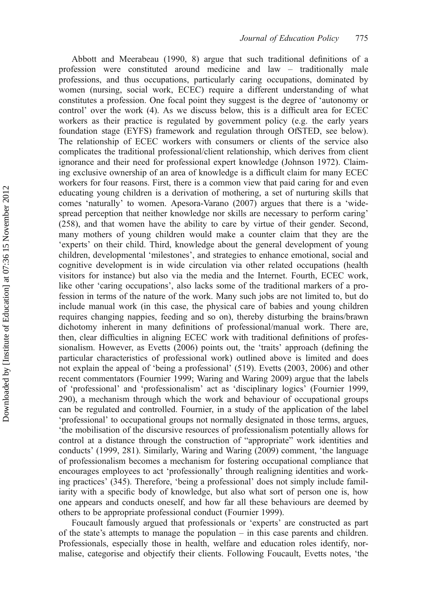Abbott and Meerabeau (1990, 8) argue that such traditional definitions of a profession were constituted around medicine and law – traditionally male professions, and thus occupations, particularly caring occupations, dominated by women (nursing, social work, ECEC) require a different understanding of what constitutes a profession. One focal point they suggest is the degree of 'autonomy or control' over the work (4). As we discuss below, this is a difficult area for ECEC workers as their practice is regulated by government policy (e.g. the early years foundation stage (EYFS) framework and regulation through OfSTED, see below). The relationship of ECEC workers with consumers or clients of the service also complicates the traditional professional/client relationship, which derives from client ignorance and their need for professional expert knowledge (Johnson 1972). Claiming exclusive ownership of an area of knowledge is a difficult claim for many ECEC workers for four reasons. First, there is a common view that paid caring for and even educating young children is a derivation of mothering, a set of nurturing skills that comes 'naturally' to women. Apesora-Varano (2007) argues that there is a 'widespread perception that neither knowledge nor skills are necessary to perform caring' (258), and that women have the ability to care by virtue of their gender. Second, many mothers of young children would make a counter claim that they are the 'experts' on their child. Third, knowledge about the general development of young children, developmental 'milestones', and strategies to enhance emotional, social and cognitive development is in wide circulation via other related occupations (health visitors for instance) but also via the media and the Internet. Fourth, ECEC work, like other 'caring occupations', also lacks some of the traditional markers of a profession in terms of the nature of the work. Many such jobs are not limited to, but do include manual work (in this case, the physical care of babies and young children requires changing nappies, feeding and so on), thereby disturbing the brains/brawn dichotomy inherent in many definitions of professional/manual work. There are, then, clear difficulties in aligning ECEC work with traditional definitions of professionalism. However, as Evetts (2006) points out, the 'traits' approach (defining the particular characteristics of professional work) outlined above is limited and does not explain the appeal of 'being a professional' (519). Evetts (2003, 2006) and other recent commentators (Fournier 1999; Waring and Waring 2009) argue that the labels of 'professional' and 'professionalism' act as 'disciplinary logics' (Fournier 1999, 290), a mechanism through which the work and behaviour of occupational groups can be regulated and controlled. Fournier, in a study of the application of the label 'professional' to occupational groups not normally designated in those terms, argues, 'the mobilisation of the discursive resources of professionalism potentially allows for control at a distance through the construction of "appropriate" work identities and conducts' (1999, 281). Similarly, Waring and Waring (2009) comment, 'the language of professionalism becomes a mechanism for fostering occupational compliance that encourages employees to act 'professionally' through realigning identities and working practices' (345). Therefore, 'being a professional' does not simply include familiarity with a specific body of knowledge, but also what sort of person one is, how one appears and conducts oneself, and how far all these behaviours are deemed by others to be appropriate professional conduct (Fournier 1999).

Foucault famously argued that professionals or 'experts' are constructed as part of the state's attempts to manage the population – in this case parents and children. Professionals, especially those in health, welfare and education roles identify, normalise, categorise and objectify their clients. Following Foucault, Evetts notes, 'the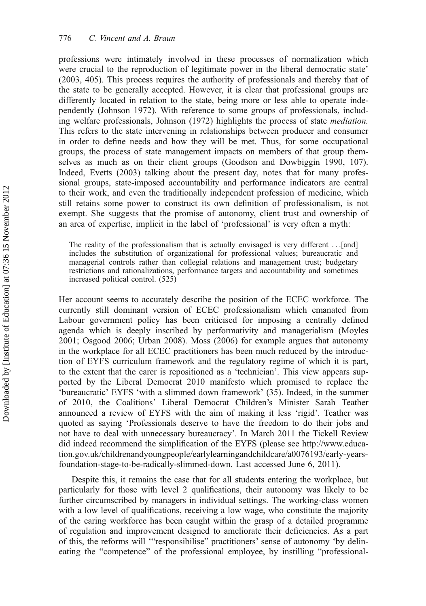professions were intimately involved in these processes of normalization which were crucial to the reproduction of legitimate power in the liberal democratic state' (2003, 405). This process requires the authority of professionals and thereby that of the state to be generally accepted. However, it is clear that professional groups are differently located in relation to the state, being more or less able to operate independently (Johnson 1972). With reference to some groups of professionals, including welfare professionals, Johnson (1972) highlights the process of state mediation. This refers to the state intervening in relationships between producer and consumer in order to define needs and how they will be met. Thus, for some occupational groups, the process of state management impacts on members of that group themselves as much as on their client groups (Goodson and Dowbiggin 1990, 107). Indeed, Evetts (2003) talking about the present day, notes that for many professional groups, state-imposed accountability and performance indicators are central to their work, and even the traditionally independent profession of medicine, which still retains some power to construct its own definition of professionalism, is not exempt. She suggests that the promise of autonomy, client trust and ownership of an area of expertise, implicit in the label of 'professional' is very often a myth:

The reality of the professionalism that is actually envisaged is very different ...[and] includes the substitution of organizational for professional values; bureaucratic and managerial controls rather than collegial relations and management trust; budgetary restrictions and rationalizations, performance targets and accountability and sometimes increased political control. (525)

Her account seems to accurately describe the position of the ECEC workforce. The currently still dominant version of ECEC professionalism which emanated from Labour government policy has been criticised for imposing a centrally defined agenda which is deeply inscribed by performativity and managerialism (Moyles 2001; Osgood 2006; Urban 2008). Moss (2006) for example argues that autonomy in the workplace for all ECEC practitioners has been much reduced by the introduction of EYFS curriculum framework and the regulatory regime of which it is part, to the extent that the carer is repositioned as a 'technician'. This view appears supported by the Liberal Democrat 2010 manifesto which promised to replace the 'bureaucratic' EYFS 'with a slimmed down framework' (35). Indeed, in the summer of 2010, the Coalitions' Liberal Democrat Children's Minister Sarah Teather announced a review of EYFS with the aim of making it less 'rigid'. Teather was quoted as saying 'Professionals deserve to have the freedom to do their jobs and not have to deal with unnecessary bureaucracy'. In March 2011 the Tickell Review did indeed recommend the simplification of the EYFS (please see http://www.education.gov.uk/childrenandyoungpeople/earlylearningandchildcare/a0076193/early-yearsfoundation-stage-to-be-radically-slimmed-down. Last accessed June 6, 2011).

Despite this, it remains the case that for all students entering the workplace, but particularly for those with level 2 qualifications, their autonomy was likely to be further circumscribed by managers in individual settings. The working-class women with a low level of qualifications, receiving a low wage, who constitute the majority of the caring workforce has been caught within the grasp of a detailed programme of regulation and improvement designed to ameliorate their deficiencies. As a part of this, the reforms will '"responsibilise" practitioners' sense of autonomy 'by delineating the "competence" of the professional employee, by instilling "professional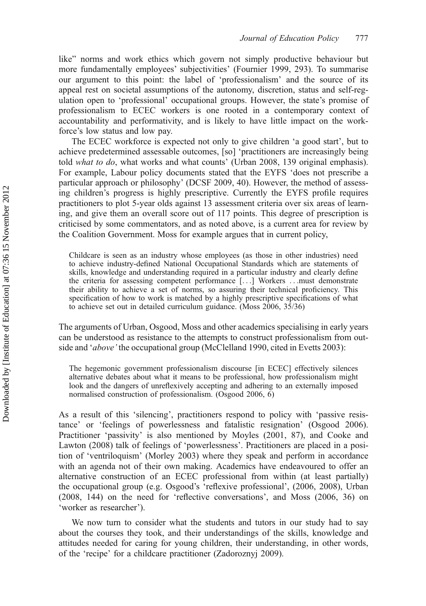like" norms and work ethics which govern not simply productive behaviour but more fundamentally employees' subjectivities' (Fournier 1999, 293). To summarise our argument to this point: the label of 'professionalism' and the source of its appeal rest on societal assumptions of the autonomy, discretion, status and self-regulation open to 'professional' occupational groups. However, the state's promise of professionalism to ECEC workers is one rooted in a contemporary context of accountability and performativity, and is likely to have little impact on the workforce's low status and low pay.

The ECEC workforce is expected not only to give children 'a good start', but to achieve predetermined assessable outcomes, [so] 'practitioners are increasingly being told what to do, what works and what counts' (Urban 2008, 139 original emphasis). For example, Labour policy documents stated that the EYFS 'does not prescribe a particular approach or philosophy' (DCSF 2009, 40). However, the method of assessing children's progress is highly prescriptive. Currently the EYFS profile requires practitioners to plot 5-year olds against 13 assessment criteria over six areas of learning, and give them an overall score out of 117 points. This degree of prescription is criticised by some commentators, and as noted above, is a current area for review by the Coalition Government. Moss for example argues that in current policy,

Childcare is seen as an industry whose employees (as those in other industries) need to achieve industry-defined National Occupational Standards which are statements of skills, knowledge and understanding required in a particular industry and clearly define the criteria for assessing competent performance [...] Workers ...must demonstrate their ability to achieve a set of norms, so assuring their technical proficiency. This specification of how to work is matched by a highly prescriptive specifications of what to achieve set out in detailed curriculum guidance. (Moss 2006, 35/36)

The arguments of Urban, Osgood, Moss and other academics specialising in early years can be understood as resistance to the attempts to construct professionalism from outside and 'above' the occupational group (McClelland 1990, cited in Evetts 2003):

The hegemonic government professionalism discourse [in ECEC] effectively silences alternative debates about what it means to be professional, how professionalism might look and the dangers of unreflexively accepting and adhering to an externally imposed normalised construction of professionalism. (Osgood 2006, 6)

As a result of this 'silencing', practitioners respond to policy with 'passive resistance' or 'feelings of powerlessness and fatalistic resignation' (Osgood 2006). Practitioner 'passivity' is also mentioned by Moyles (2001, 87), and Cooke and Lawton (2008) talk of feelings of 'powerlessness'. Practitioners are placed in a position of 'ventriloquism' (Morley 2003) where they speak and perform in accordance with an agenda not of their own making. Academics have endeavoured to offer an alternative construction of an ECEC professional from within (at least partially) the occupational group (e.g. Osgood's 'reflexive professional', (2006, 2008), Urban  $(2008, 144)$  on the need for 'reflective conversations', and Moss  $(2006, 36)$  on 'worker as researcher').

We now turn to consider what the students and tutors in our study had to say about the courses they took, and their understandings of the skills, knowledge and attitudes needed for caring for young children, their understanding, in other words, of the 'recipe' for a childcare practitioner (Zadoroznyj 2009).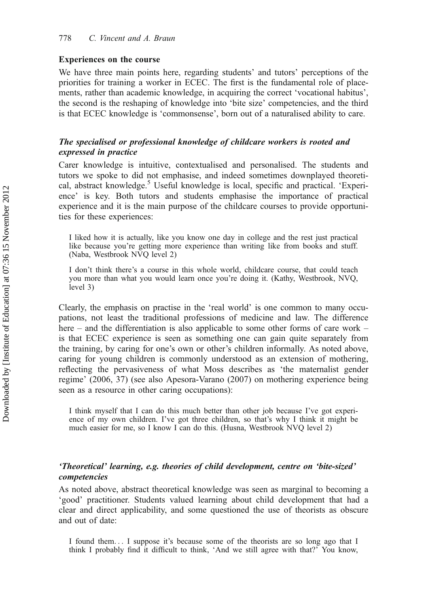# Experiences on the course

We have three main points here, regarding students' and tutors' perceptions of the priorities for training a worker in ECEC. The first is the fundamental role of placements, rather than academic knowledge, in acquiring the correct 'vocational habitus', the second is the reshaping of knowledge into 'bite size' competencies, and the third is that ECEC knowledge is 'commonsense', born out of a naturalised ability to care.

# The specialised or professional knowledge of childcare workers is rooted and expressed in practice

Carer knowledge is intuitive, contextualised and personalised. The students and tutors we spoke to did not emphasise, and indeed sometimes downplayed theoretical, abstract knowledge.<sup>5</sup> Useful knowledge is local, specific and practical. 'Experience' is key. Both tutors and students emphasise the importance of practical experience and it is the main purpose of the childcare courses to provide opportunities for these experiences:

I liked how it is actually, like you know one day in college and the rest just practical like because you're getting more experience than writing like from books and stuff. (Naba, Westbrook NVQ level 2)

I don't think there's a course in this whole world, childcare course, that could teach you more than what you would learn once you're doing it. (Kathy, Westbrook, NVQ, level 3)

Clearly, the emphasis on practise in the 'real world' is one common to many occupations, not least the traditional professions of medicine and law. The difference here – and the differentiation is also applicable to some other forms of care work – is that ECEC experience is seen as something one can gain quite separately from the training, by caring for one's own or other's children informally. As noted above, caring for young children is commonly understood as an extension of mothering, reflecting the pervasiveness of what Moss describes as 'the maternalist gender regime' (2006, 37) (see also Apesora-Varano (2007) on mothering experience being seen as a resource in other caring occupations):

I think myself that I can do this much better than other job because I've got experience of my own children. I've got three children, so that's why I think it might be much easier for me, so I know I can do this. (Husna, Westbrook NVQ level 2)

# 'Theoretical' learning, e.g. theories of child development, centre on 'bite-sized' competencies

As noted above, abstract theoretical knowledge was seen as marginal to becoming a 'good' practitioner. Students valued learning about child development that had a clear and direct applicability, and some questioned the use of theorists as obscure and out of date:

I found them... I suppose it's because some of the theorists are so long ago that I think I probably find it difficult to think, 'And we still agree with that?' You know,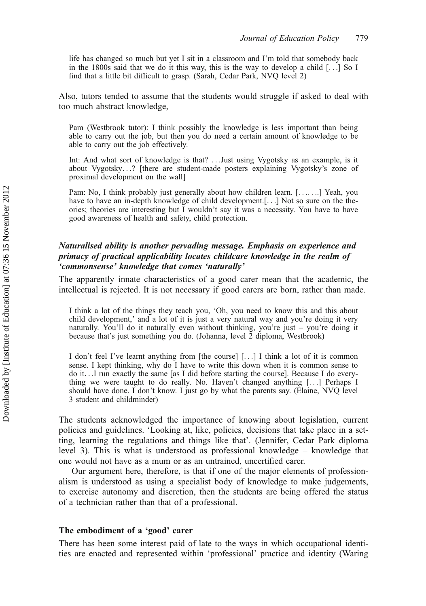life has changed so much but yet I sit in a classroom and I'm told that somebody back in the 1800s said that we do it this way, this is the way to develop a child  $[\ldots]$  So I find that a little bit difficult to grasp. (Sarah, Cedar Park, NVQ level 2)

Also, tutors tended to assume that the students would struggle if asked to deal with too much abstract knowledge,

Pam (Westbrook tutor): I think possibly the knowledge is less important than being able to carry out the job, but then you do need a certain amount of knowledge to be able to carry out the job effectively.

Int: And what sort of knowledge is that? ...Just using Vygotsky as an example, is it about Vygotsky...? [there are student-made posters explaining Vygotsky's zone of proximal development on the wall]

Pam: No, I think probably just generally about how children learn. [. . .. . ..] Yeah, you have to have an in-depth knowledge of child development.[...] Not so sure on the theories; theories are interesting but I wouldn't say it was a necessity. You have to have good awareness of health and safety, child protection.

# Naturalised ability is another pervading message. Emphasis on experience and primacy of practical applicability locates childcare knowledge in the realm of 'commonsense' knowledge that comes 'naturally'

The apparently innate characteristics of a good carer mean that the academic, the intellectual is rejected. It is not necessary if good carers are born, rather than made.

I think a lot of the things they teach you, 'Oh, you need to know this and this about child development,' and a lot of it is just a very natural way and you're doing it very naturally. You'll do it naturally even without thinking, you're just – you're doing it because that's just something you do. (Johanna, level 2 diploma, Westbrook)

I don't feel I've learnt anything from [the course] [...] I think a lot of it is common sense. I kept thinking, why do I have to write this down when it is common sense to do it...I run exactly the same [as I did before starting the course]. Because I do everything we were taught to do really. No. Haven't changed anything [...] Perhaps I should have done. I don't know. I just go by what the parents say. (Elaine, NVQ level 3 student and childminder)

The students acknowledged the importance of knowing about legislation, current policies and guidelines. 'Looking at, like, policies, decisions that take place in a setting, learning the regulations and things like that'. (Jennifer, Cedar Park diploma level 3). This is what is understood as professional knowledge – knowledge that one would not have as a mum or as an untrained, uncertified carer.

Our argument here, therefore, is that if one of the major elements of professionalism is understood as using a specialist body of knowledge to make judgements, to exercise autonomy and discretion, then the students are being offered the status of a technician rather than that of a professional.

# The embodiment of a 'good' carer

There has been some interest paid of late to the ways in which occupational identities are enacted and represented within 'professional' practice and identity (Waring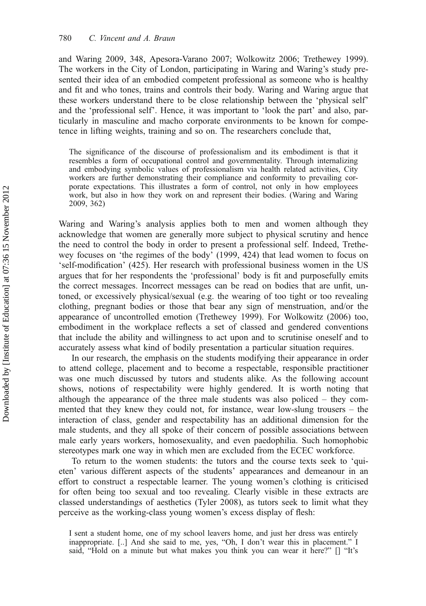and Waring 2009, 348, Apesora-Varano 2007; Wolkowitz 2006; Trethewey 1999). The workers in the City of London, participating in Waring and Waring's study presented their idea of an embodied competent professional as someone who is healthy and fit and who tones, trains and controls their body. Waring and Waring argue that these workers understand there to be close relationship between the 'physical self' and the 'professional self'. Hence, it was important to 'look the part' and also, particularly in masculine and macho corporate environments to be known for competence in lifting weights, training and so on. The researchers conclude that,

The significance of the discourse of professionalism and its embodiment is that it resembles a form of occupational control and governmentality. Through internalizing and embodying symbolic values of professionalism via health related activities, City workers are further demonstrating their compliance and conformity to prevailing corporate expectations. This illustrates a form of control, not only in how employees work, but also in how they work on and represent their bodies. (Waring and Waring 2009, 362)

Waring and Waring's analysis applies both to men and women although they acknowledge that women are generally more subject to physical scrutiny and hence the need to control the body in order to present a professional self. Indeed, Trethewey focuses on 'the regimes of the body' (1999, 424) that lead women to focus on 'self-modification' (425). Her research with professional business women in the US argues that for her respondents the 'professional' body is fit and purposefully emits the correct messages. Incorrect messages can be read on bodies that are unfit, untoned, or excessively physical/sexual (e.g. the wearing of too tight or too revealing clothing, pregnant bodies or those that bear any sign of menstruation, and/or the appearance of uncontrolled emotion (Trethewey 1999). For Wolkowitz (2006) too, embodiment in the workplace reflects a set of classed and gendered conventions that include the ability and willingness to act upon and to scrutinise oneself and to accurately assess what kind of bodily presentation a particular situation requires.

In our research, the emphasis on the students modifying their appearance in order to attend college, placement and to become a respectable, responsible practitioner was one much discussed by tutors and students alike. As the following account shows, notions of respectability were highly gendered. It is worth noting that although the appearance of the three male students was also policed – they commented that they knew they could not, for instance, wear low-slung trousers – the interaction of class, gender and respectability has an additional dimension for the male students, and they all spoke of their concern of possible associations between male early years workers, homosexuality, and even paedophilia. Such homophobic stereotypes mark one way in which men are excluded from the ECEC workforce.

To return to the women students: the tutors and the course texts seek to 'quieten' various different aspects of the students' appearances and demeanour in an effort to construct a respectable learner. The young women's clothing is criticised for often being too sexual and too revealing. Clearly visible in these extracts are classed understandings of aesthetics (Tyler 2008), as tutors seek to limit what they perceive as the working-class young women's excess display of flesh:

I sent a student home, one of my school leavers home, and just her dress was entirely inappropriate. [..] And she said to me, yes, "Oh, I don't wear this in placement." I said, "Hold on a minute but what makes you think you can wear it here?" [] "It's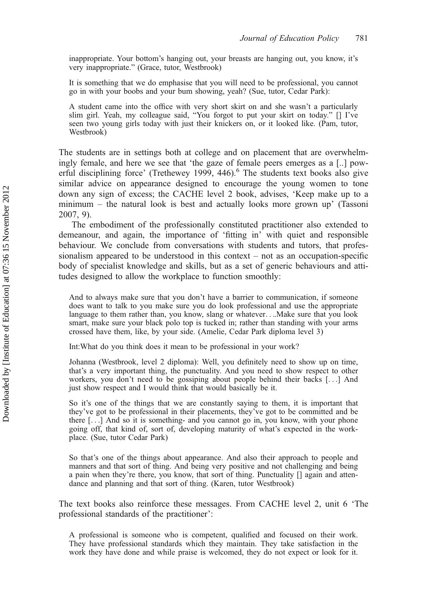inappropriate. Your bottom's hanging out, your breasts are hanging out, you know, it's very inappropriate." (Grace, tutor, Westbrook)

It is something that we do emphasise that you will need to be professional, you cannot go in with your boobs and your bum showing, yeah? (Sue, tutor, Cedar Park):

A student came into the office with very short skirt on and she wasn't a particularly slim girl. Yeah, my colleague said, "You forgot to put your skirt on today." [] I've seen two young girls today with just their knickers on, or it looked like. (Pam, tutor, Westbrook)

The students are in settings both at college and on placement that are overwhelmingly female, and here we see that 'the gaze of female peers emerges as a [..] powerful disciplining force' (Trethewey 1999,  $446$ ).<sup>6</sup> The students text books also give similar advice on appearance designed to encourage the young women to tone down any sign of excess; the CACHE level 2 book, advises, 'Keep make up to a minimum – the natural look is best and actually looks more grown up' (Tassoni 2007, 9).

The embodiment of the professionally constituted practitioner also extended to demeanour, and again, the importance of 'fitting in' with quiet and responsible behaviour. We conclude from conversations with students and tutors, that professionalism appeared to be understood in this context – not as an occupation-specific body of specialist knowledge and skills, but as a set of generic behaviours and attitudes designed to allow the workplace to function smoothly:

And to always make sure that you don't have a barrier to communication, if someone does want to talk to you make sure you do look professional and use the appropriate language to them rather than, you know, slang or whatever....Make sure that you look smart, make sure your black polo top is tucked in; rather than standing with your arms crossed have them, like, by your side. (Amelie, Cedar Park diploma level 3)

Int:What do you think does it mean to be professional in your work?

Johanna (Westbrook, level 2 diploma): Well, you definitely need to show up on time, that's a very important thing, the punctuality. And you need to show respect to other workers, you don't need to be gossiping about people behind their backs [...] And just show respect and I would think that would basically be it.

So it's one of the things that we are constantly saying to them, it is important that they've got to be professional in their placements, they've got to be committed and be there [...] And so it is something- and you cannot go in, you know, with your phone going off, that kind of, sort of, developing maturity of what's expected in the workplace. (Sue, tutor Cedar Park)

So that's one of the things about appearance. And also their approach to people and manners and that sort of thing. And being very positive and not challenging and being a pain when they're there, you know, that sort of thing. Punctuality [] again and attendance and planning and that sort of thing. (Karen, tutor Westbrook)

The text books also reinforce these messages. From CACHE level 2, unit 6 'The professional standards of the practitioner':

A professional is someone who is competent, qualified and focused on their work. They have professional standards which they maintain. They take satisfaction in the work they have done and while praise is welcomed, they do not expect or look for it.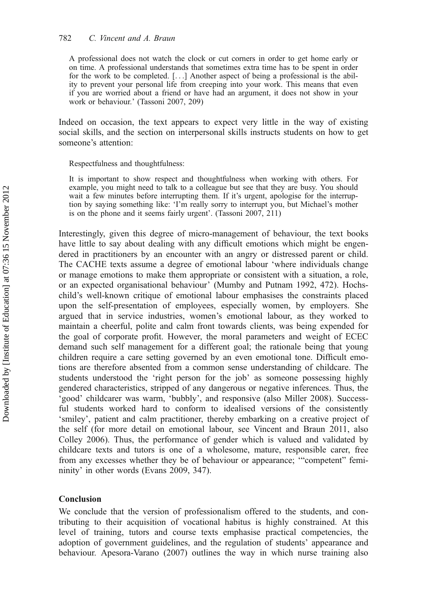A professional does not watch the clock or cut corners in order to get home early or on time. A professional understands that sometimes extra time has to be spent in order for the work to be completed. [...] Another aspect of being a professional is the ability to prevent your personal life from creeping into your work. This means that even if you are worried about a friend or have had an argument, it does not show in your work or behaviour.' (Tassoni 2007, 209)

Indeed on occasion, the text appears to expect very little in the way of existing social skills, and the section on interpersonal skills instructs students on how to get someone's attention:

Respectfulness and thoughtfulness:

It is important to show respect and thoughtfulness when working with others. For example, you might need to talk to a colleague but see that they are busy. You should wait a few minutes before interrupting them. If it's urgent, apologise for the interruption by saying something like: 'I'm really sorry to interrupt you, but Michael's mother is on the phone and it seems fairly urgent'. (Tassoni 2007, 211)

Interestingly, given this degree of micro-management of behaviour, the text books have little to say about dealing with any difficult emotions which might be engendered in practitioners by an encounter with an angry or distressed parent or child. The CACHE texts assume a degree of emotional labour 'where individuals change or manage emotions to make them appropriate or consistent with a situation, a role, or an expected organisational behaviour' (Mumby and Putnam 1992, 472). Hochschild's well-known critique of emotional labour emphasises the constraints placed upon the self-presentation of employees, especially women, by employers. She argued that in service industries, women's emotional labour, as they worked to maintain a cheerful, polite and calm front towards clients, was being expended for the goal of corporate profit. However, the moral parameters and weight of ECEC demand such self management for a different goal; the rationale being that young children require a care setting governed by an even emotional tone. Difficult emotions are therefore absented from a common sense understanding of childcare. The students understood the 'right person for the job' as someone possessing highly gendered characteristics, stripped of any dangerous or negative inferences. Thus, the 'good' childcarer was warm, 'bubbly', and responsive (also Miller 2008). Successful students worked hard to conform to idealised versions of the consistently 'smiley', patient and calm practitioner, thereby embarking on a creative project of the self (for more detail on emotional labour, see Vincent and Braun 2011, also Colley 2006). Thus, the performance of gender which is valued and validated by childcare texts and tutors is one of a wholesome, mature, responsible carer, free from any excesses whether they be of behaviour or appearance; '"competent" femininity' in other words (Evans 2009, 347).

#### Conclusion

We conclude that the version of professionalism offered to the students, and contributing to their acquisition of vocational habitus is highly constrained. At this level of training, tutors and course texts emphasise practical competencies, the adoption of government guidelines, and the regulation of students' appearance and behaviour. Apesora-Varano (2007) outlines the way in which nurse training also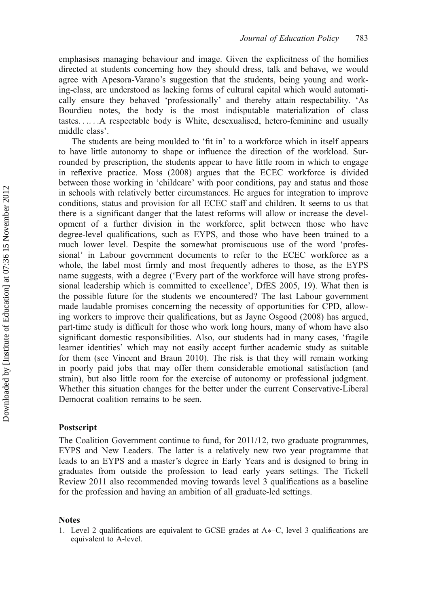emphasises managing behaviour and image. Given the explicitness of the homilies directed at students concerning how they should dress, talk and behave, we would agree with Apesora-Varano's suggestion that the students, being young and working-class, are understood as lacking forms of cultural capital which would automatically ensure they behaved 'professionally' and thereby attain respectability. 'As Bourdieu notes, the body is the most indisputable materialization of class tastes. . .. . .A respectable body is White, desexualised, hetero-feminine and usually middle class'.

The students are being moulded to 'fit in' to a workforce which in itself appears to have little autonomy to shape or influence the direction of the workload. Surrounded by prescription, the students appear to have little room in which to engage in reflexive practice. Moss (2008) argues that the ECEC workforce is divided between those working in 'childcare' with poor conditions, pay and status and those in schools with relatively better circumstances. He argues for integration to improve conditions, status and provision for all ECEC staff and children. It seems to us that there is a significant danger that the latest reforms will allow or increase the development of a further division in the workforce, split between those who have degree-level qualifications, such as EYPS, and those who have been trained to a much lower level. Despite the somewhat promiscuous use of the word 'professional' in Labour government documents to refer to the ECEC workforce as a whole, the label most firmly and most frequently adheres to those, as the EYPS name suggests, with a degree ('Every part of the workforce will have strong professional leadership which is committed to excellence', DfES 2005, 19). What then is the possible future for the students we encountered? The last Labour government made laudable promises concerning the necessity of opportunities for CPD, allowing workers to improve their qualifications, but as Jayne Osgood (2008) has argued, part-time study is difficult for those who work long hours, many of whom have also significant domestic responsibilities. Also, our students had in many cases, 'fragile learner identities' which may not easily accept further academic study as suitable for them (see Vincent and Braun 2010). The risk is that they will remain working in poorly paid jobs that may offer them considerable emotional satisfaction (and strain), but also little room for the exercise of autonomy or professional judgment. Whether this situation changes for the better under the current Conservative-Liberal Democrat coalition remains to be seen.

# Postscript

The Coalition Government continue to fund, for 2011/12, two graduate programmes, EYPS and New Leaders. The latter is a relatively new two year programme that leads to an EYPS and a master's degree in Early Years and is designed to bring in graduates from outside the profession to lead early years settings. The Tickell Review 2011 also recommended moving towards level 3 qualifications as a baseline for the profession and having an ambition of all graduate-led settings.

#### Notes

<sup>1.</sup> Level 2 qualifications are equivalent to GCSE grades at  $A<sup>*</sup>-C$ , level 3 qualifications are equivalent to A-level.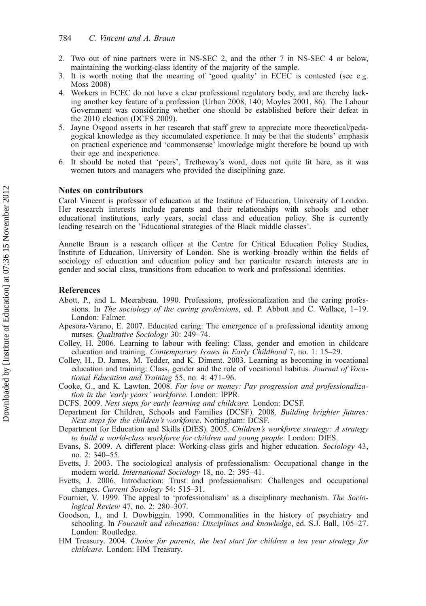- 2. Two out of nine partners were in NS-SEC 2, and the other 7 in NS-SEC 4 or below, maintaining the working-class identity of the majority of the sample.
- 3. It is worth noting that the meaning of 'good quality' in ECEC is contested (see e.g. Moss 2008)
- 4. Workers in ECEC do not have a clear professional regulatory body, and are thereby lacking another key feature of a profession (Urban 2008, 140; Moyles 2001, 86). The Labour Government was considering whether one should be established before their defeat in the 2010 election (DCFS 2009).
- 5. Jayne Osgood asserts in her research that staff grew to appreciate more theoretical/pedagogical knowledge as they accumulated experience. It may be that the students' emphasis on practical experience and 'commonsense' knowledge might therefore be bound up with their age and inexperience.
- 6. It should be noted that 'peers', Tretheway's word, does not quite fit here, as it was women tutors and managers who provided the disciplining gaze.

# Notes on contributors

Carol Vincent is professor of education at the Institute of Education, University of London. Her research interests include parents and their relationships with schools and other educational institutions, early years, social class and education policy. She is currently leading research on the 'Educational strategies of the Black middle classes'.

Annette Braun is a research officer at the Centre for Critical Education Policy Studies, Institute of Education, University of London. She is working broadly within the fields of sociology of education and education policy and her particular research interests are in gender and social class, transitions from education to work and professional identities.

#### References

- Abott, P., and L. Meerabeau. 1990. Professions, professionalization and the caring professions. In The sociology of the caring professions, ed. P. Abbott and C. Wallace, 1–19. London: Falmer.
- Apesora-Varano, E. 2007. Educated caring: The emergence of a professional identity among nurses. Qualitative Sociology 30: 249–74.
- Colley, H. 2006. Learning to labour with feeling: Class, gender and emotion in childcare education and training. Contemporary Issues in Early Childhood 7, no. 1: 15–29.
- Colley, H., D. James, M. Tedder, and K. Diment. 2003. Learning as becoming in vocational education and training: Class, gender and the role of vocational habitus. Journal of Vocational Education and Training 55, no. 4: 471–96.
- Cooke, G., and K. Lawton. 2008. For love or money: Pay progression and professionalization in the 'early years' workforce. London: IPPR.
- DCFS. 2009. Next steps for early learning and childcare. London: DCSF.
- Department for Children, Schools and Families (DCSF). 2008. Building brighter futures: Next steps for the children's workforce. Nottingham: DCSF.
- Department for Education and Skills (DfES). 2005. Children's workforce strategy: A strategy to build a world-class workforce for children and young people. London: DfES.
- Evans, S. 2009. A different place: Working-class girls and higher education. Sociology 43, no. 2: 340–55.
- Evetts, J. 2003. The sociological analysis of professionalism: Occupational change in the modern world. International Sociology 18, no. 2: 395–41.
- Evetts, J. 2006. Introduction: Trust and professionalism: Challenges and occupational changes. Current Sociology 54: 515–31.
- Fournier, V. 1999. The appeal to 'professionalism' as a disciplinary mechanism. The Sociological Review 47, no. 2: 280–307.
- Goodson, I., and I. Dowbiggin. 1990. Commonalities in the history of psychiatry and schooling. In Foucault and education: Disciplines and knowledge, ed. S.J. Ball, 105–27. London: Routledge.
- HM Treasury. 2004. Choice for parents, the best start for children a ten year strategy for childcare. London: HM Treasury.